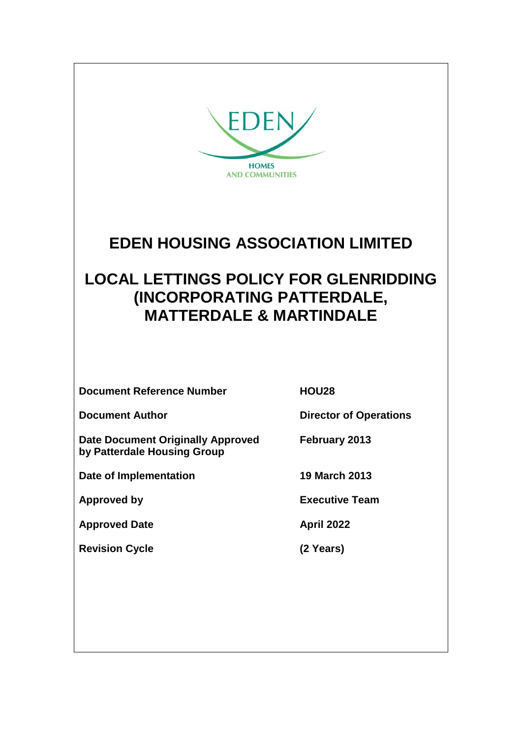

# **EDEN HOUSING ASSOCIATION LIMITED**

# **LOCAL LETTINGS POLICY FOR GLENRIDDING (INCORPORATING PATTERDALE, MATTERDALE & MARTINDALE**

**Document Reference Number HOU28**

**Document Author Director of Operations** 

**Date Document Originally Approved February 2013 by Patterdale Housing Group**

**Date of Implementation 19 March 2013**

**Approved Date April 2022**

**Revision Cycle (2 Years)**

**Approved by Executive Team**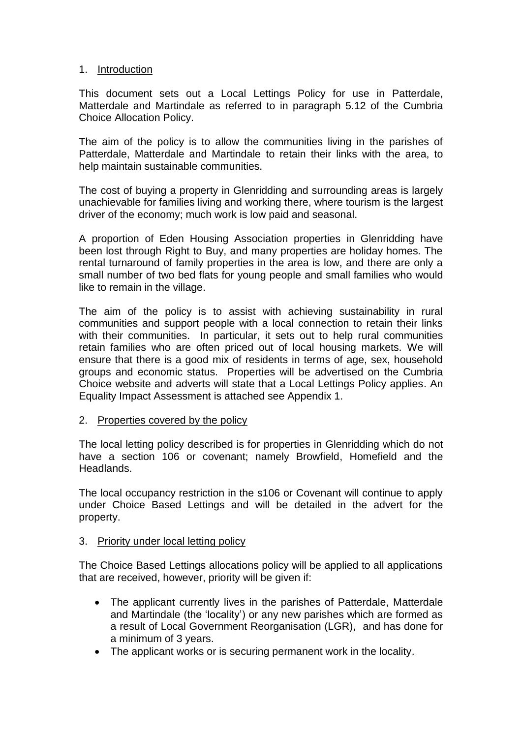#### 1. Introduction

This document sets out a Local Lettings Policy for use in Patterdale, Matterdale and Martindale as referred to in paragraph 5.12 of the Cumbria Choice Allocation Policy.

The aim of the policy is to allow the communities living in the parishes of Patterdale, Matterdale and Martindale to retain their links with the area, to help maintain sustainable communities.

The cost of buying a property in Glenridding and surrounding areas is largely unachievable for families living and working there, where tourism is the largest driver of the economy; much work is low paid and seasonal.

A proportion of Eden Housing Association properties in Glenridding have been lost through Right to Buy, and many properties are holiday homes. The rental turnaround of family properties in the area is low, and there are only a small number of two bed flats for young people and small families who would like to remain in the village.

The aim of the policy is to assist with achieving sustainability in rural communities and support people with a local connection to retain their links with their communities. In particular, it sets out to help rural communities retain families who are often priced out of local housing markets. We will ensure that there is a good mix of residents in terms of age, sex, household groups and economic status. Properties will be advertised on the Cumbria Choice website and adverts will state that a Local Lettings Policy applies. An Equality Impact Assessment is attached see Appendix 1.

#### 2. Properties covered by the policy

The local letting policy described is for properties in Glenridding which do not have a section 106 or covenant; namely Browfield, Homefield and the Headlands.

The local occupancy restriction in the s106 or Covenant will continue to apply under Choice Based Lettings and will be detailed in the advert for the property.

#### 3. Priority under local letting policy

The Choice Based Lettings allocations policy will be applied to all applications that are received, however, priority will be given if:

- The applicant currently lives in the parishes of Patterdale, Matterdale and Martindale (the 'locality') or any new parishes which are formed as a result of Local Government Reorganisation (LGR), and has done for a minimum of 3 years.
- The applicant works or is securing permanent work in the locality.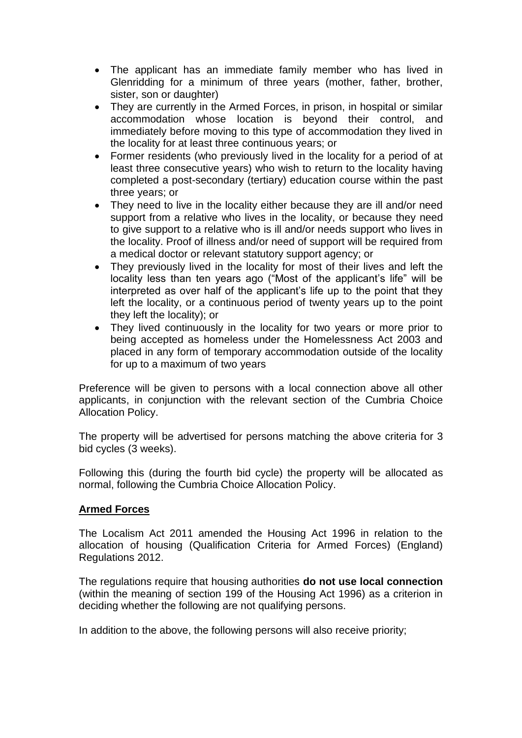- The applicant has an immediate family member who has lived in Glenridding for a minimum of three years (mother, father, brother, sister, son or daughter)
- They are currently in the Armed Forces, in prison, in hospital or similar accommodation whose location is beyond their control, and immediately before moving to this type of accommodation they lived in the locality for at least three continuous years; or
- Former residents (who previously lived in the locality for a period of at least three consecutive years) who wish to return to the locality having completed a post-secondary (tertiary) education course within the past three years; or
- They need to live in the locality either because they are ill and/or need support from a relative who lives in the locality, or because they need to give support to a relative who is ill and/or needs support who lives in the locality. Proof of illness and/or need of support will be required from a medical doctor or relevant statutory support agency; or
- They previously lived in the locality for most of their lives and left the locality less than ten years ago ("Most of the applicant's life" will be interpreted as over half of the applicant's life up to the point that they left the locality, or a continuous period of twenty years up to the point they left the locality); or
- They lived continuously in the locality for two years or more prior to being accepted as homeless under the Homelessness Act 2003 and placed in any form of temporary accommodation outside of the locality for up to a maximum of two years

Preference will be given to persons with a local connection above all other applicants, in conjunction with the relevant section of the Cumbria Choice Allocation Policy.

The property will be advertised for persons matching the above criteria for 3 bid cycles (3 weeks).

Following this (during the fourth bid cycle) the property will be allocated as normal, following the Cumbria Choice Allocation Policy.

#### **Armed Forces**

The Localism Act 2011 amended the Housing Act 1996 in relation to the allocation of housing (Qualification Criteria for Armed Forces) (England) Regulations 2012.

The regulations require that housing authorities **do not use local connection** (within the meaning of section 199 of the Housing Act 1996) as a criterion in deciding whether the following are not qualifying persons.

In addition to the above, the following persons will also receive priority;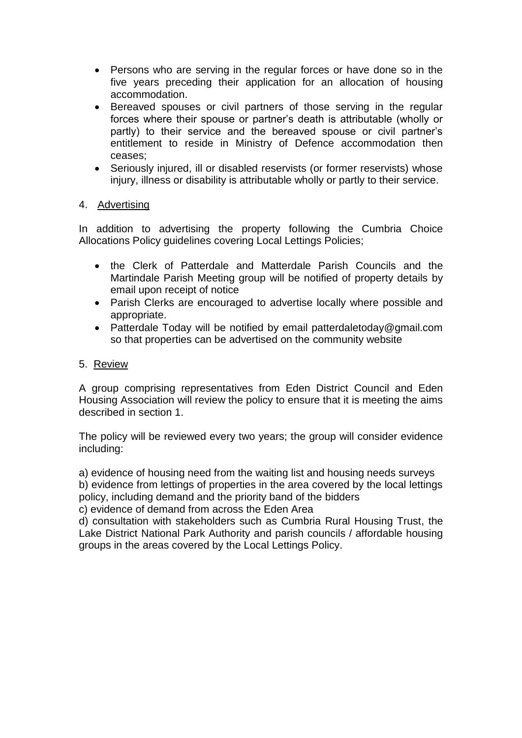- Persons who are serving in the regular forces or have done so in the five years preceding their application for an allocation of housing accommodation.
- Bereaved spouses or civil partners of those serving in the regular forces where their spouse or partner's death is attributable (wholly or partly) to their service and the bereaved spouse or civil partner's entitlement to reside in Ministry of Defence accommodation then ceases;
- Seriously injured, ill or disabled reservists (or former reservists) whose injury, illness or disability is attributable wholly or partly to their service.

#### 4. Advertising

In addition to advertising the property following the Cumbria Choice Allocations Policy guidelines covering Local Lettings Policies;

- the Clerk of Patterdale and Matterdale Parish Councils and the Martindale Parish Meeting group will be notified of property details by email upon receipt of notice
- Parish Clerks are encouraged to advertise locally where possible and appropriate.
- Patterdale Today will be notified by email patterdaletoday@gmail.com so that properties can be advertised on the community website

#### 5. Review

A group comprising representatives from Eden District Council and Eden Housing Association will review the policy to ensure that it is meeting the aims described in section 1.

The policy will be reviewed every two years; the group will consider evidence including:

a) evidence of housing need from the waiting list and housing needs surveys b) evidence from lettings of properties in the area covered by the local lettings policy, including demand and the priority band of the bidders

c) evidence of demand from across the Eden Area

d) consultation with stakeholders such as Cumbria Rural Housing Trust, the Lake District National Park Authority and parish councils / affordable housing groups in the areas covered by the Local Lettings Policy.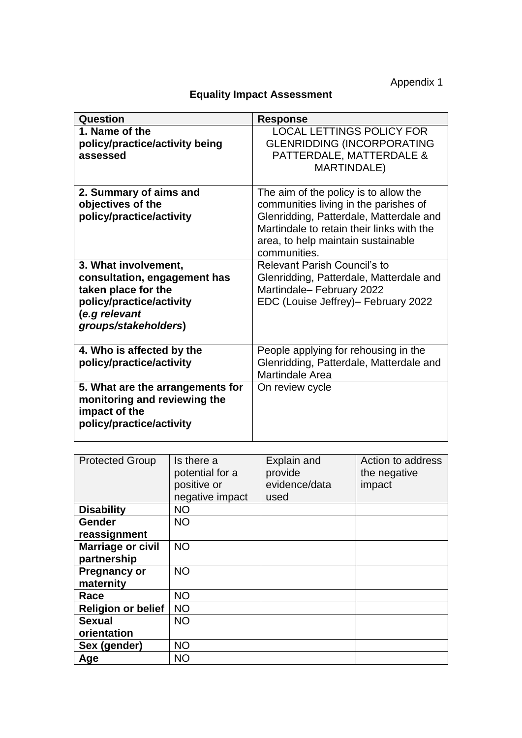Appendix 1

| <b>Equality Impact Assessment</b> |
|-----------------------------------|
|-----------------------------------|

| Question                                                                                                                                         | <b>Response</b>                                                                                                                                                                                                              |
|--------------------------------------------------------------------------------------------------------------------------------------------------|------------------------------------------------------------------------------------------------------------------------------------------------------------------------------------------------------------------------------|
| 1. Name of the<br>policy/practice/activity being<br>assessed                                                                                     | <b>LOCAL LETTINGS POLICY FOR</b><br><b>GLENRIDDING (INCORPORATING</b><br>PATTERDALE, MATTERDALE &<br>MARTINDALE)                                                                                                             |
| 2. Summary of aims and<br>objectives of the<br>policy/practice/activity                                                                          | The aim of the policy is to allow the<br>communities living in the parishes of<br>Glenridding, Patterdale, Matterdale and<br>Martindale to retain their links with the<br>area, to help maintain sustainable<br>communities. |
| 3. What involvement,<br>consultation, engagement has<br>taken place for the<br>policy/practice/activity<br>(e.g relevant<br>groups/stakeholders) | <b>Relevant Parish Council's to</b><br>Glenridding, Patterdale, Matterdale and<br>Martindale-February 2022<br>EDC (Louise Jeffrey)- February 2022                                                                            |
| 4. Who is affected by the<br>policy/practice/activity                                                                                            | People applying for rehousing in the<br>Glenridding, Patterdale, Matterdale and<br><b>Martindale Area</b>                                                                                                                    |
| 5. What are the arrangements for<br>monitoring and reviewing the<br>impact of the<br>policy/practice/activity                                    | On review cycle                                                                                                                                                                                                              |

| <b>Protected Group</b>           | Is there a<br>potential for a<br>positive or<br>negative impact | Explain and<br>provide<br>evidence/data<br>used | Action to address<br>the negative<br>impact |
|----------------------------------|-----------------------------------------------------------------|-------------------------------------------------|---------------------------------------------|
| <b>Disability</b>                | <b>NO</b>                                                       |                                                 |                                             |
| <b>Gender</b><br>reassignment    | <b>NO</b>                                                       |                                                 |                                             |
| Marriage or civil<br>partnership | <b>NO</b>                                                       |                                                 |                                             |
| <b>Pregnancy or</b><br>maternity | <b>NO</b>                                                       |                                                 |                                             |
| Race                             | <b>NO</b>                                                       |                                                 |                                             |
| <b>Religion or belief</b>        | <b>NO</b>                                                       |                                                 |                                             |
| <b>Sexual</b><br>orientation     | <b>NO</b>                                                       |                                                 |                                             |
| Sex (gender)                     | <b>NO</b>                                                       |                                                 |                                             |
| Age                              | <b>NO</b>                                                       |                                                 |                                             |